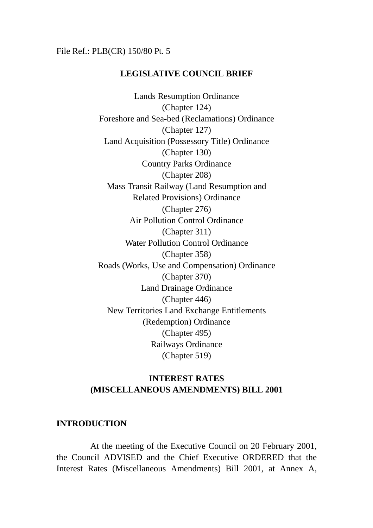## File Ref.: PLB(CR) 150/80 Pt. 5

## **LEGISLATIVE COUNCIL BRIEF**

Lands Resumption Ordinance (Chapter 124) Foreshore and Sea-bed (Reclamations) Ordinance (Chapter 127) Land Acquisition (Possessory Title) Ordinance (Chapter 130) Country Parks Ordinance (Chapter 208) Mass Transit Railway (Land Resumption and Related Provisions) Ordinance (Chapter 276) Air Pollution Control Ordinance (Chapter 311) Water Pollution Control Ordinance (Chapter 358) Roads (Works, Use and Compensation) Ordinance (Chapter 370) Land Drainage Ordinance (Chapter 446) New Territories Land Exchange Entitlements (Redemption) Ordinance (Chapter 495) Railways Ordinance (Chapter 519)

## **INTEREST RATES (MISCELLANEOUS AMENDMENTS) BILL 2001**

## **INTRODUCTION**

At the meeting of the Executive Council on 20 February 2001, the Council ADVISED and the Chief Executive ORDERED that the Interest Rates (Miscellaneous Amendments) Bill 2001, at Annex A,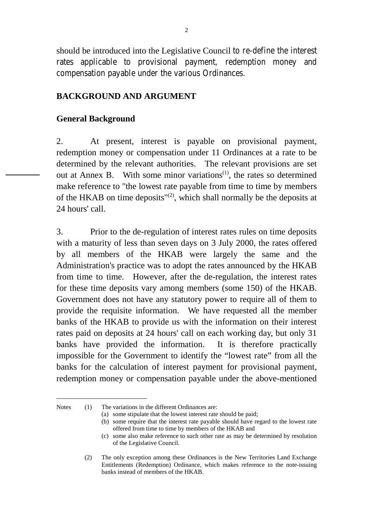should be introduced into the Legislative Council to re-define the interest rates applicable to provisional payment, redemption money and compensation payable under the various Ordinances.

## **BACKGROUND AND ARGUMENT**

## **General Background**

2. At present, interest is payable on provisional payment, redemption money or compensation under 11 Ordinances at a rate to be determined by the relevant authorities. The relevant provisions are set out at Annex B. With some minor variations<sup>(1)</sup>, the rates so determined make reference to "the lowest rate payable from time to time by members of the HKAB on time deposits"(2), which shall normally be the deposits at 24 hours' call.

3. Prior to the de-regulation of interest rates rules on time deposits with a maturity of less than seven days on 3 July 2000, the rates offered by all members of the HKAB were largely the same and the Administration's practice was to adopt the rates announced by the HKAB from time to time. However, after the de-regulation, the interest rates for these time deposits vary among members (some 150) of the HKAB. Government does not have any statutory power to require all of them to provide the requisite information. We have requested all the member banks of the HKAB to provide us with the information on their interest rates paid on deposits at 24 hours' call on each working day, but only 31 banks have provided the information. It is therefore practically impossible for the Government to identify the "lowest rate" from all the banks for the calculation of interest payment for provisional payment, redemption money or compensation payable under the above-mentioned

Notes (1) The variations in the different Ordinances are:

 $\overline{a}$ 

(a) some stipulate that the lowest interest rate should be paid;

(b) some require that the interest rate payable should have regard to the lowest rate offered from time to time by members of the HKAB and

(2) The only exception among these Ordinances is the New Territories Land Exchange Entitlements (Redemption) Ordinance, which makes reference to the note-issuing banks instead of members of the HKAB.

<sup>(</sup>c) some also make reference to such other rate as may be determined by resolution of the Legislative Council.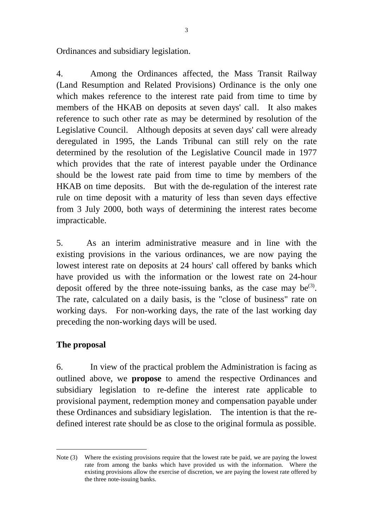Ordinances and subsidiary legislation.

4. Among the Ordinances affected, the Mass Transit Railway (Land Resumption and Related Provisions) Ordinance is the only one which makes reference to the interest rate paid from time to time by members of the HKAB on deposits at seven days' call. It also makes reference to such other rate as may be determined by resolution of the Legislative Council. Although deposits at seven days' call were already deregulated in 1995, the Lands Tribunal can still rely on the rate determined by the resolution of the Legislative Council made in 1977 which provides that the rate of interest payable under the Ordinance should be the lowest rate paid from time to time by members of the HKAB on time deposits. But with the de-regulation of the interest rate rule on time deposit with a maturity of less than seven days effective from 3 July 2000, both ways of determining the interest rates become impracticable.

5. As an interim administrative measure and in line with the existing provisions in the various ordinances, we are now paying the lowest interest rate on deposits at 24 hours' call offered by banks which have provided us with the information or the lowest rate on 24-hour deposit offered by the three note-issuing banks, as the case may be<sup>(3)</sup>. The rate, calculated on a daily basis, is the "close of business" rate on working days. For non-working days, the rate of the last working day preceding the non-working days will be used.

# **The proposal**

 $\overline{a}$ 

6. In view of the practical problem the Administration is facing as outlined above, we **propose** to amend the respective Ordinances and subsidiary legislation to re-define the interest rate applicable to provisional payment, redemption money and compensation payable under these Ordinances and subsidiary legislation. The intention is that the redefined interest rate should be as close to the original formula as possible.

Note (3) Where the existing provisions require that the lowest rate be paid, we are paying the lowest rate from among the banks which have provided us with the information. Where the existing provisions allow the exercise of discretion, we are paying the lowest rate offered by the three note-issuing banks.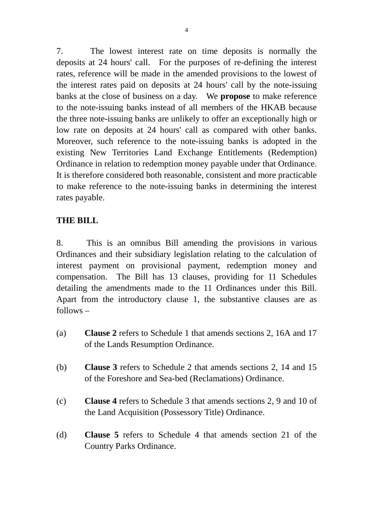7. The lowest interest rate on time deposits is normally the deposits at 24 hours' call. For the purposes of re-defining the interest rates, reference will be made in the amended provisions to the lowest of the interest rates paid on deposits at 24 hours' call by the note-issuing banks at the close of business on a day. We **propose** to make reference to the note-issuing banks instead of all members of the HKAB because the three note-issuing banks are unlikely to offer an exceptionally high or low rate on deposits at 24 hours' call as compared with other banks. Moreover, such reference to the note-issuing banks is adopted in the existing New Territories Land Exchange Entitlements (Redemption) Ordinance in relation to redemption money payable under that Ordinance. It is therefore considered both reasonable, consistent and more practicable to make reference to the note-issuing banks in determining the interest rates payable.

# **THE BILL**

8. This is an omnibus Bill amending the provisions in various Ordinances and their subsidiary legislation relating to the calculation of interest payment on provisional payment, redemption money and compensation. The Bill has 13 clauses, providing for 11 Schedules detailing the amendments made to the 11 Ordinances under this Bill. Apart from the introductory clause 1, the substantive clauses are as follows –

- (a) **Clause 2** refers to Schedule 1 that amends sections 2, 16A and 17 of the Lands Resumption Ordinance.
- (b) **Clause 3** refers to Schedule 2 that amends sections 2, 14 and 15 of the Foreshore and Sea-bed (Reclamations) Ordinance.
- (c) **Clause 4** refers to Schedule 3 that amends sections 2, 9 and 10 of the Land Acquisition (Possessory Title) Ordinance.
- (d) **Clause 5** refers to Schedule 4 that amends section 21 of the Country Parks Ordinance.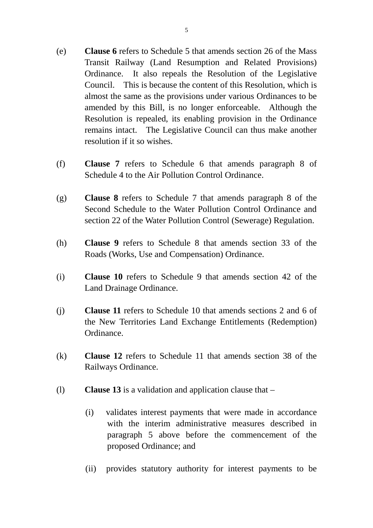- (e) **Clause 6** refers to Schedule 5 that amends section 26 of the Mass Transit Railway (Land Resumption and Related Provisions) Ordinance. It also repeals the Resolution of the Legislative Council. This is because the content of this Resolution, which is almost the same as the provisions under various Ordinances to be amended by this Bill, is no longer enforceable. Although the Resolution is repealed, its enabling provision in the Ordinance remains intact. The Legislative Council can thus make another resolution if it so wishes.
- (f) **Clause 7** refers to Schedule 6 that amends paragraph 8 of Schedule 4 to the Air Pollution Control Ordinance.
- (g) **Clause 8** refers to Schedule 7 that amends paragraph 8 of the Second Schedule to the Water Pollution Control Ordinance and section 22 of the Water Pollution Control (Sewerage) Regulation.
- (h) **Clause 9** refers to Schedule 8 that amends section 33 of the Roads (Works, Use and Compensation) Ordinance.
- (i) **Clause 10** refers to Schedule 9 that amends section 42 of the Land Drainage Ordinance.
- (j) **Clause 11** refers to Schedule 10 that amends sections 2 and 6 of the New Territories Land Exchange Entitlements (Redemption) Ordinance.
- (k) **Clause 12** refers to Schedule 11 that amends section 38 of the Railways Ordinance.
- (l) **Clause 13** is a validation and application clause that
	- (i) validates interest payments that were made in accordance with the interim administrative measures described in paragraph 5 above before the commencement of the proposed Ordinance; and
	- (ii) provides statutory authority for interest payments to be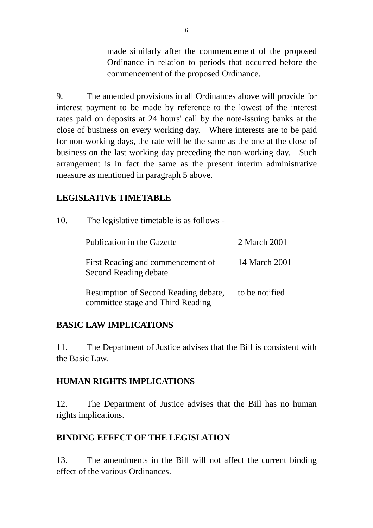made similarly after the commencement of the proposed Ordinance in relation to periods that occurred before the commencement of the proposed Ordinance.

9. The amended provisions in all Ordinances above will provide for interest payment to be made by reference to the lowest of the interest rates paid on deposits at 24 hours' call by the note-issuing banks at the close of business on every working day. Where interests are to be paid for non-working days, the rate will be the same as the one at the close of business on the last working day preceding the non-working day. Such arrangement is in fact the same as the present interim administrative measure as mentioned in paragraph 5 above.

# **LEGISLATIVE TIMETABLE**

| 10. | The legislative timetable is as follows -                                 |                |  |  |  |
|-----|---------------------------------------------------------------------------|----------------|--|--|--|
|     | Publication in the Gazette                                                | 2 March 2001   |  |  |  |
|     | First Reading and commencement of<br>Second Reading debate                | 14 March 2001  |  |  |  |
|     | Resumption of Second Reading debate,<br>committee stage and Third Reading | to be notified |  |  |  |

# **BASIC LAW IMPLICATIONS**

11. The Department of Justice advises that the Bill is consistent with the Basic Law.

## **HUMAN RIGHTS IMPLICATIONS**

12. The Department of Justice advises that the Bill has no human rights implications.

# **BINDING EFFECT OF THE LEGISLATION**

13. The amendments in the Bill will not affect the current binding effect of the various Ordinances.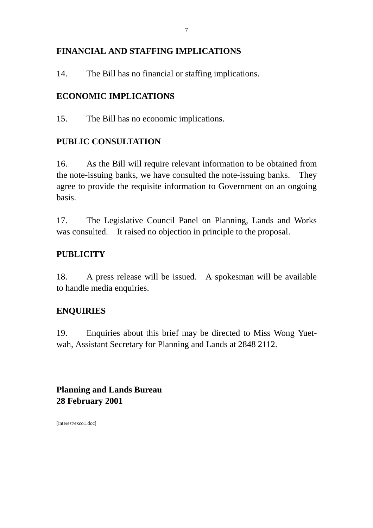# **FINANCIAL AND STAFFING IMPLICATIONS**

14. The Bill has no financial or staffing implications.

# **ECONOMIC IMPLICATIONS**

15. The Bill has no economic implications.

# **PUBLIC CONSULTATION**

16. As the Bill will require relevant information to be obtained from the note-issuing banks, we have consulted the note-issuing banks. They agree to provide the requisite information to Government on an ongoing basis.

17. The Legislative Council Panel on Planning, Lands and Works was consulted. It raised no objection in principle to the proposal.

# **PUBLICITY**

18. A press release will be issued. A spokesman will be available to handle media enquiries.

# **ENQUIRIES**

19. Enquiries about this brief may be directed to Miss Wong Yuetwah, Assistant Secretary for Planning and Lands at 2848 2112.

**Planning and Lands Bureau 28 February 2001**

[interest\exco1.doc]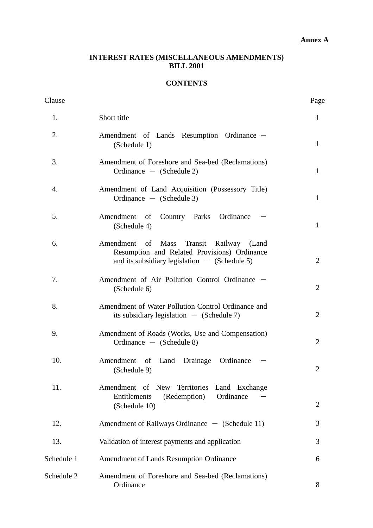### **Annex A**

## **INTEREST RATES (MISCELLANEOUS AMENDMENTS) BILL 2001**

## **CONTENTS**

| Clause     |                                                                                                                                            | Page           |
|------------|--------------------------------------------------------------------------------------------------------------------------------------------|----------------|
| 1.         | Short title                                                                                                                                | $\mathbf{1}$   |
| 2.         | Amendment of Lands Resumption Ordinance –<br>(Schedule 1)                                                                                  | $\mathbf{1}$   |
| 3.         | Amendment of Foreshore and Sea-bed (Reclamations)<br>Ordinance $-$ (Schedule 2)                                                            | 1              |
| 4.         | Amendment of Land Acquisition (Possessory Title)<br>Ordinance $-$ (Schedule 3)                                                             | $\mathbf{1}$   |
| 5.         | Country Parks Ordinance<br>Amendment of<br>(Schedule 4)                                                                                    | $\mathbf{1}$   |
| 6.         | Amendment of Mass Transit Railway (Land<br>Resumption and Related Provisions) Ordinance<br>and its subsidiary legislation $-$ (Schedule 5) | $\overline{2}$ |
| 7.         | Amendment of Air Pollution Control Ordinance -<br>(Schedule 6)                                                                             | $\overline{2}$ |
| 8.         | Amendment of Water Pollution Control Ordinance and<br>its subsidiary legislation $-$ (Schedule 7)                                          | $\overline{2}$ |
| 9.         | Amendment of Roads (Works, Use and Compensation)<br>Ordinance $-$ (Schedule 8)                                                             | $\overline{2}$ |
| 10.        | Drainage Ordinance<br>Amendment of<br>Land<br>(Schedule 9)                                                                                 | 2              |
| 11.        | Amendment of New Territories Land Exchange<br>Entitlements<br>(Redemption)<br>Ordinance<br>(Schedule 10)                                   | 2              |
| 12.        | Amendment of Railways Ordinance $-$ (Schedule 11)                                                                                          | 3              |
| 13.        | Validation of interest payments and application                                                                                            | 3              |
| Schedule 1 | Amendment of Lands Resumption Ordinance                                                                                                    | 6              |
| Schedule 2 | Amendment of Foreshore and Sea-bed (Reclamations)<br>Ordinance                                                                             | 8              |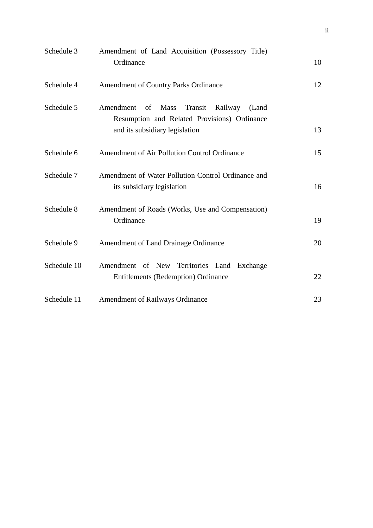| Schedule 3  | Amendment of Land Acquisition (Possessory Title)<br>Ordinance                                                 | 10 |
|-------------|---------------------------------------------------------------------------------------------------------------|----|
|             |                                                                                                               |    |
| Schedule 4  | <b>Amendment of Country Parks Ordinance</b>                                                                   | 12 |
| Schedule 5  | Amendment<br><b>Mass</b><br>Transit<br>of<br>Railway<br>(Land<br>Resumption and Related Provisions) Ordinance |    |
|             | and its subsidiary legislation                                                                                | 13 |
| Schedule 6  | Amendment of Air Pollution Control Ordinance                                                                  | 15 |
| Schedule 7  | Amendment of Water Pollution Control Ordinance and<br>its subsidiary legislation                              | 16 |
|             |                                                                                                               |    |
| Schedule 8  | Amendment of Roads (Works, Use and Compensation)<br>Ordinance                                                 | 19 |
| Schedule 9  | Amendment of Land Drainage Ordinance                                                                          | 20 |
| Schedule 10 | Amendment of New Territories Land Exchange                                                                    |    |
|             | <b>Entitlements (Redemption) Ordinance</b>                                                                    | 22 |
| Schedule 11 | <b>Amendment of Railways Ordinance</b>                                                                        | 23 |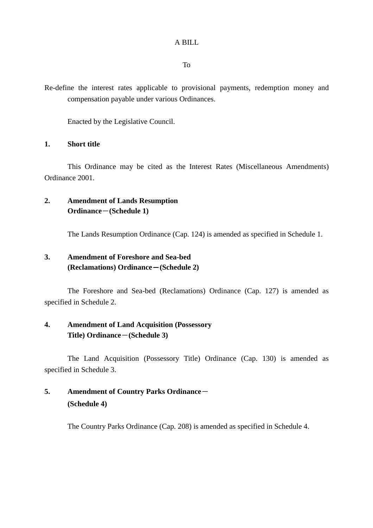### A BILL

To

Re-define the interest rates applicable to provisional payments, redemption money and compensation payable under various Ordinances.

Enacted by the Legislative Council.

### **1. Short title**

This Ordinance may be cited as the Interest Rates (Miscellaneous Amendments) Ordinance 2001.

## **2. Amendment of Lands Resumption Ordinance**-**(Schedule 1)**

The Lands Resumption Ordinance (Cap. 124) is amended as specified in Schedule 1.

## **3. Amendment of Foreshore and Sea-bed (Reclamations) Ordinance**-**(Schedule 2)**

The Foreshore and Sea-bed (Reclamations) Ordinance (Cap. 127) is amended as specified in Schedule 2.

## **4. Amendment of Land Acquisition (Possessory Title) Ordinance**-**(Schedule 3)**

The Land Acquisition (Possessory Title) Ordinance (Cap. 130) is amended as specified in Schedule 3.

# **5. Amendment of Country Parks Ordinance**- **(Schedule 4)**

The Country Parks Ordinance (Cap. 208) is amended as specified in Schedule 4.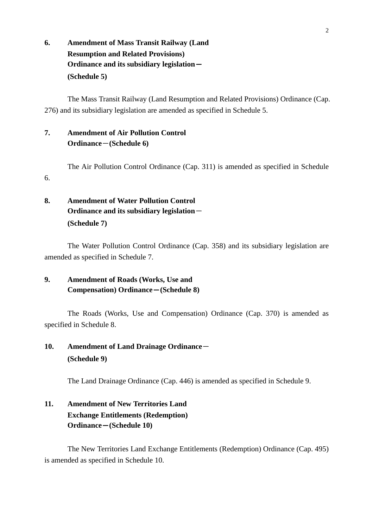**6. Amendment of Mass Transit Railway (Land Resumption and Related Provisions) Ordinance and its subsidiary legislation**- **(Schedule 5)**

The Mass Transit Railway (Land Resumption and Related Provisions) Ordinance (Cap. 276) and its subsidiary legislation are amended as specified in Schedule 5.

## **7. Amendment of Air Pollution Control Ordinance**-**(Schedule 6)**

The Air Pollution Control Ordinance (Cap. 311) is amended as specified in Schedule 6.

# **8. Amendment of Water Pollution Control Ordinance and its subsidiary legislation**- **(Schedule 7)**

The Water Pollution Control Ordinance (Cap. 358) and its subsidiary legislation are amended as specified in Schedule 7.

# **9. Amendment of Roads (Works, Use and Compensation) Ordinance**-**(Schedule 8)**

The Roads (Works, Use and Compensation) Ordinance (Cap. 370) is amended as specified in Schedule 8.

# 10. Amendment of Land Drainage Ordinance-**(Schedule 9)**

The Land Drainage Ordinance (Cap. 446) is amended as specified in Schedule 9.

# **11. Amendment of New Territories Land Exchange Entitlements (Redemption) Ordinance**-**(Schedule 10)**

The New Territories Land Exchange Entitlements (Redemption) Ordinance (Cap. 495) is amended as specified in Schedule 10.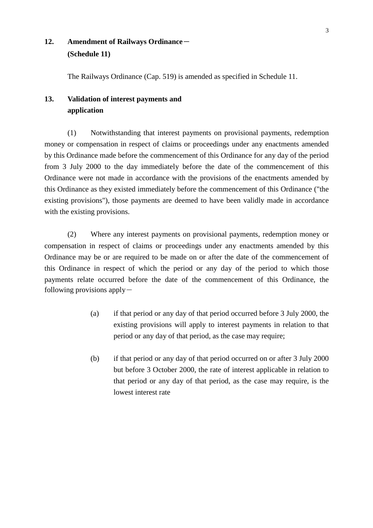# 12. Amendment of Railways Ordinance-**(Schedule 11)**

The Railways Ordinance (Cap. 519) is amended as specified in Schedule 11.

# **13. Validation of interest payments and application**

(1) Notwithstanding that interest payments on provisional payments, redemption money or compensation in respect of claims or proceedings under any enactments amended by this Ordinance made before the commencement of this Ordinance for any day of the period from 3 July 2000 to the day immediately before the date of the commencement of this Ordinance were not made in accordance with the provisions of the enactments amended by this Ordinance as they existed immediately before the commencement of this Ordinance ("the existing provisions"), those payments are deemed to have been validly made in accordance with the existing provisions.

(2) Where any interest payments on provisional payments, redemption money or compensation in respect of claims or proceedings under any enactments amended by this Ordinance may be or are required to be made on or after the date of the commencement of this Ordinance in respect of which the period or any day of the period to which those payments relate occurred before the date of the commencement of this Ordinance, the following provisions apply $-$ 

- (a) if that period or any day of that period occurred before 3 July 2000, the existing provisions will apply to interest payments in relation to that period or any day of that period, as the case may require;
- (b) if that period or any day of that period occurred on or after 3 July 2000 but before 3 October 2000, the rate of interest applicable in relation to that period or any day of that period, as the case may require, is the lowest interest rate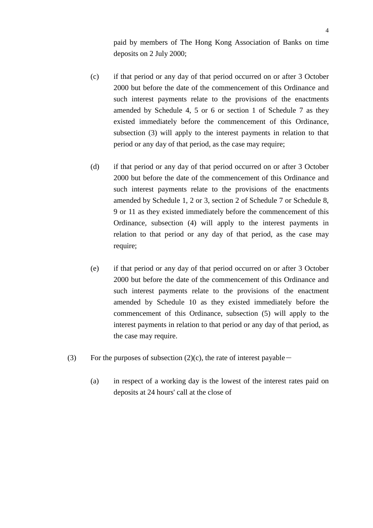paid by members of The Hong Kong Association of Banks on time deposits on 2 July 2000;

- (c) if that period or any day of that period occurred on or after 3 October 2000 but before the date of the commencement of this Ordinance and such interest payments relate to the provisions of the enactments amended by Schedule 4, 5 or 6 or section 1 of Schedule 7 as they existed immediately before the commencement of this Ordinance, subsection (3) will apply to the interest payments in relation to that period or any day of that period, as the case may require;
- (d) if that period or any day of that period occurred on or after 3 October 2000 but before the date of the commencement of this Ordinance and such interest payments relate to the provisions of the enactments amended by Schedule 1, 2 or 3, section 2 of Schedule 7 or Schedule 8, 9 or 11 as they existed immediately before the commencement of this Ordinance, subsection (4) will apply to the interest payments in relation to that period or any day of that period, as the case may require;
- (e) if that period or any day of that period occurred on or after 3 October 2000 but before the date of the commencement of this Ordinance and such interest payments relate to the provisions of the enactment amended by Schedule 10 as they existed immediately before the commencement of this Ordinance, subsection (5) will apply to the interest payments in relation to that period or any day of that period, as the case may require.
- (3) For the purposes of subsection  $(2)(c)$ , the rate of interest payable -
	- (a) in respect of a working day is the lowest of the interest rates paid on deposits at 24 hours' call at the close of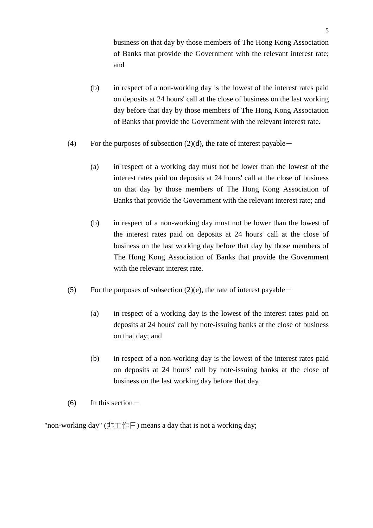business on that day by those members of The Hong Kong Association of Banks that provide the Government with the relevant interest rate; and

- (b) in respect of a non-working day is the lowest of the interest rates paid on deposits at 24 hours' call at the close of business on the last working day before that day by those members of The Hong Kong Association of Banks that provide the Government with the relevant interest rate.
- (4) For the purposes of subsection  $(2)(d)$ , the rate of interest payable -
	- (a) in respect of a working day must not be lower than the lowest of the interest rates paid on deposits at 24 hours' call at the close of business on that day by those members of The Hong Kong Association of Banks that provide the Government with the relevant interest rate; and
	- (b) in respect of a non-working day must not be lower than the lowest of the interest rates paid on deposits at 24 hours' call at the close of business on the last working day before that day by those members of The Hong Kong Association of Banks that provide the Government with the relevant interest rate.
- (5) For the purposes of subsection (2)(e), the rate of interest payable  $-$ 
	- (a) in respect of a working day is the lowest of the interest rates paid on deposits at 24 hours' call by note-issuing banks at the close of business on that day; and
	- (b) in respect of a non-working day is the lowest of the interest rates paid on deposits at 24 hours' call by note-issuing banks at the close of business on the last working day before that day.
- $(6)$  In this section  $-$

"non-working day" (非工作日) means a day that is not a working day;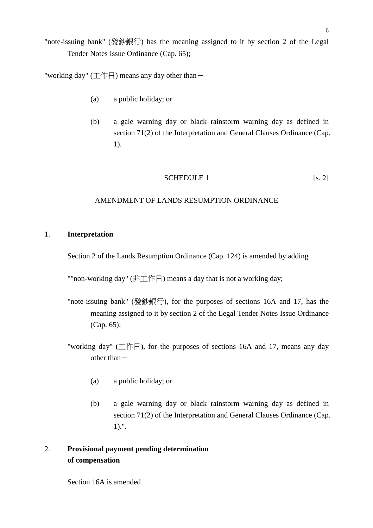"note-issuing bank" (發鈔銀行) has the meaning assigned to it by section 2 of the Legal Tender Notes Issue Ordinance (Cap. 65);

"working day" (工作日) means any day other than  $-$ 

- (a) a public holiday; or
- (b) a gale warning day or black rainstorm warning day as defined in section 71(2) of the Interpretation and General Clauses Ordinance (Cap. 1).

### SCHEDULE 1 [s. 2]

### AMENDMENT OF LANDS RESUMPTION ORDINANCE

#### 1. **Interpretation**

Section 2 of the Lands Resumption Ordinance (Cap. 124) is amended by adding-

""non-working day" (非工作日) means a day that is not a working day;

- "note-issuing bank" (發鈔銀行), for the purposes of sections 16A and 17, has the meaning assigned to it by section 2 of the Legal Tender Notes Issue Ordinance (Cap. 65);
- "working day" (工作日), for the purposes of sections 16A and 17, means any day other than $-$ 
	- (a) a public holiday; or
	- (b) a gale warning day or black rainstorm warning day as defined in section 71(2) of the Interpretation and General Clauses Ordinance (Cap. 1).".

## 2. **Provisional payment pending determination of compensation**

Section 16A is amended-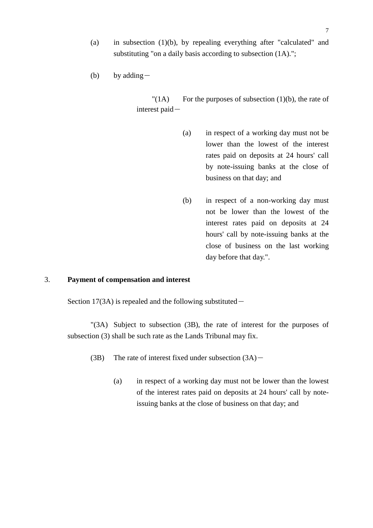(a) in subsection (1)(b), by repealing everything after "calculated" and substituting "on a daily basis according to subsection (1A).";

(b) by adding  $-$ 

 $"(1)$  For the purposes of subsection  $(1)(b)$ , the rate of interest paid-

- (a) in respect of a working day must not be lower than the lowest of the interest rates paid on deposits at 24 hours' call by note-issuing banks at the close of business on that day; and
- (b) in respect of a non-working day must not be lower than the lowest of the interest rates paid on deposits at 24 hours' call by note-issuing banks at the close of business on the last working day before that day.".

### 3. **Payment of compensation and interest**

Section 17(3A) is repealed and the following substituted $-$ 

"(3A) Subject to subsection (3B), the rate of interest for the purposes of subsection (3) shall be such rate as the Lands Tribunal may fix.

- (3B) The rate of interest fixed under subsection  $(3A)$ 
	- (a) in respect of a working day must not be lower than the lowest of the interest rates paid on deposits at 24 hours' call by noteissuing banks at the close of business on that day; and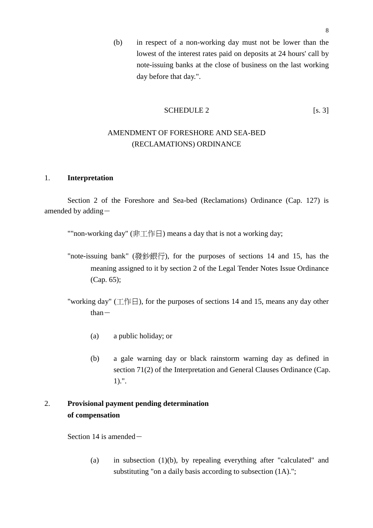(b) in respect of a non-working day must not be lower than the lowest of the interest rates paid on deposits at 24 hours' call by note-issuing banks at the close of business on the last working day before that day.".

### SCHEDULE 2 [s. 3]

## AMENDMENT OF FORESHORE AND SEA-BED (RECLAMATIONS) ORDINANCE

#### 1. **Interpretation**

Section 2 of the Foreshore and Sea-bed (Reclamations) Ordinance (Cap. 127) is amended by adding-

""non-working day" (非工作日) means a day that is not a working day;

- "note-issuing bank" (發鈔銀行), for the purposes of sections 14 and 15, has the meaning assigned to it by section 2 of the Legal Tender Notes Issue Ordinance (Cap. 65);
- "working day" (工作日), for the purposes of sections 14 and 15, means any day other  $than-$ 
	- (a) a public holiday; or
	- (b) a gale warning day or black rainstorm warning day as defined in section 71(2) of the Interpretation and General Clauses Ordinance (Cap. 1).".

# 2. **Provisional payment pending determination of compensation**

Section 14 is amended $-$ 

(a) in subsection  $(1)(b)$ , by repealing everything after "calculated" and substituting "on a daily basis according to subsection  $(1A)$ .";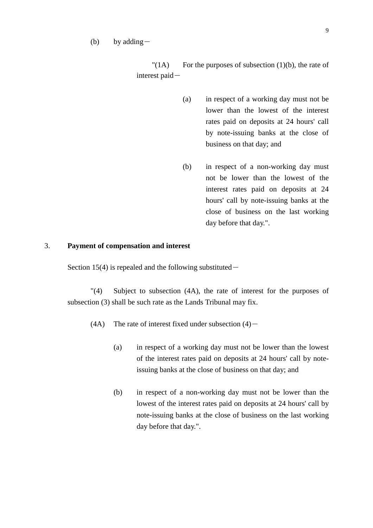#### (b) by adding  $-$

 $"(1)$  For the purposes of subsection  $(1)(b)$ , the rate of interest paid-

- (a) in respect of a working day must not be lower than the lowest of the interest rates paid on deposits at 24 hours' call by note-issuing banks at the close of business on that day; and
- (b) in respect of a non-working day must not be lower than the lowest of the interest rates paid on deposits at 24 hours' call by note-issuing banks at the close of business on the last working day before that day.".

### 3. **Payment of compensation and interest**

Section 15(4) is repealed and the following substituted $-$ 

"(4) Subject to subsection (4A), the rate of interest for the purposes of subsection (3) shall be such rate as the Lands Tribunal may fix.

- (4A) The rate of interest fixed under subsection  $(4)$ 
	- (a) in respect of a working day must not be lower than the lowest of the interest rates paid on deposits at 24 hours' call by noteissuing banks at the close of business on that day; and
	- (b) in respect of a non-working day must not be lower than the lowest of the interest rates paid on deposits at 24 hours' call by note-issuing banks at the close of business on the last working day before that day.".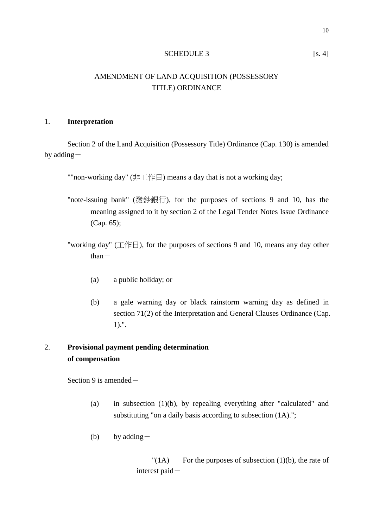#### SCHEDULE 3 [s. 4]

## AMENDMENT OF LAND ACQUISITION (POSSESSORY TITLE) ORDINANCE

### 1. **Interpretation**

Section 2 of the Land Acquisition (Possessory Title) Ordinance (Cap. 130) is amended by adding-

""non-working day" (非工作日) means a day that is not a working day;

- "note-issuing bank" (發鈔銀行), for the purposes of sections 9 and 10, has the meaning assigned to it by section 2 of the Legal Tender Notes Issue Ordinance (Cap. 65);
- "working day" (工作日), for the purposes of sections 9 and 10, means any day other  $than-$ 
	- (a) a public holiday; or
	- (b) a gale warning day or black rainstorm warning day as defined in section 71(2) of the Interpretation and General Clauses Ordinance (Cap. 1).".

## 2. **Provisional payment pending determination of compensation**

Section 9 is amended $-$ 

- (a) in subsection (1)(b), by repealing everything after "calculated" and substituting "on a daily basis according to subsection  $(1A)$ .";
- (b) by adding  $-$

 $"(1)$  For the purposes of subsection  $(1)(b)$ , the rate of interest paid-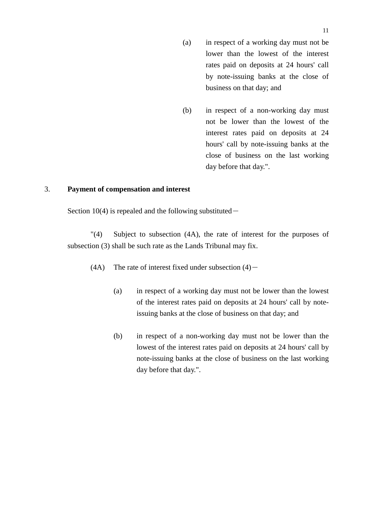- (a) in respect of a working day must not be lower than the lowest of the interest rates paid on deposits at 24 hours' call by note-issuing banks at the close of business on that day; and
- (b) in respect of a non-working day must not be lower than the lowest of the interest rates paid on deposits at 24 hours' call by note-issuing banks at the close of business on the last working day before that day.".

### 3. **Payment of compensation and interest**

Section 10(4) is repealed and the following substituted $-$ 

"(4) Subject to subsection (4A), the rate of interest for the purposes of subsection (3) shall be such rate as the Lands Tribunal may fix.

- (4A) The rate of interest fixed under subsection  $(4)$ 
	- (a) in respect of a working day must not be lower than the lowest of the interest rates paid on deposits at 24 hours' call by noteissuing banks at the close of business on that day; and
	- (b) in respect of a non-working day must not be lower than the lowest of the interest rates paid on deposits at 24 hours' call by note-issuing banks at the close of business on the last working day before that day.".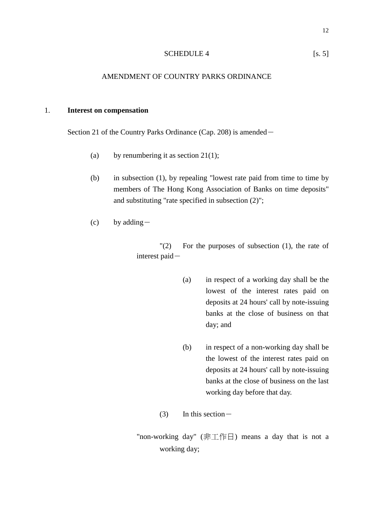#### SCHEDULE 4 [s. 5]

### AMENDMENT OF COUNTRY PARKS ORDINANCE

#### 1. **Interest on compensation**

Section 21 of the Country Parks Ordinance (Cap. 208) is amended-

- (a) by renumbering it as section  $21(1)$ ;
- (b) in subsection (1), by repealing "lowest rate paid from time to time by members of The Hong Kong Association of Banks on time deposits" and substituting "rate specified in subsection (2)";
- (c) by adding  $-$

"(2) For the purposes of subsection (1), the rate of interest paid-

- (a) in respect of a working day shall be the lowest of the interest rates paid on deposits at 24 hours' call by note-issuing banks at the close of business on that day; and
- (b) in respect of a non-working day shall be the lowest of the interest rates paid on deposits at 24 hours' call by note-issuing banks at the close of business on the last working day before that day.
- $(3)$  In this section –

"non-working day" (非工作日) means a day that is not a working day;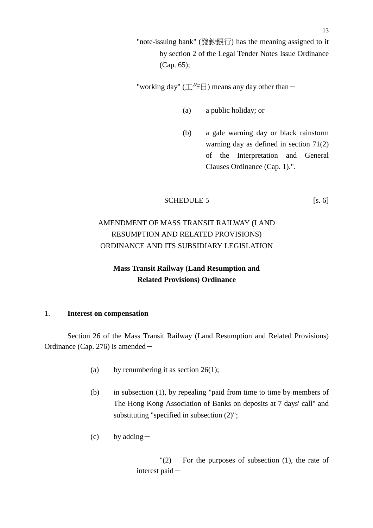"note-issuing bank" (發鈔銀行) has the meaning assigned to it by section 2 of the Legal Tender Notes Issue Ordinance (Cap. 65);

"working day" (工作日) means any day other than  $-$ 

- (a) a public holiday; or
- (b) a gale warning day or black rainstorm warning day as defined in section 71(2) of the Interpretation and General Clauses Ordinance (Cap. 1).".

#### SCHEDULE 5 [s. 6]

# AMENDMENT OF MASS TRANSIT RAILWAY (LAND RESUMPTION AND RELATED PROVISIONS) ORDINANCE AND ITS SUBSIDIARY LEGISLATION

## **Mass Transit Railway (Land Resumption and Related Provisions) Ordinance**

### 1. **Interest on compensation**

Section 26 of the Mass Transit Railway (Land Resumption and Related Provisions) Ordinance (Cap. 276) is amended  $-$ 

- (a) by renumbering it as section  $26(1)$ ;
- (b) in subsection (1), by repealing "paid from time to time by members of The Hong Kong Association of Banks on deposits at 7 days' call" and substituting "specified in subsection  $(2)$ ";
- (c) by adding  $-$

 $'(2)$  For the purposes of subsection  $(1)$ , the rate of interest paid-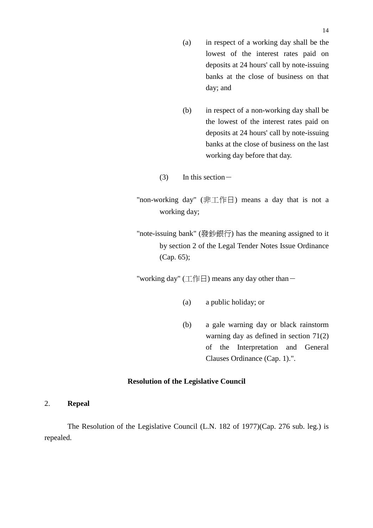- (a) in respect of a working day shall be the lowest of the interest rates paid on deposits at 24 hours' call by note-issuing banks at the close of business on that day; and
- (b) in respect of a non-working day shall be the lowest of the interest rates paid on deposits at 24 hours' call by note-issuing banks at the close of business on the last working day before that day.
- $(3)$  In this section  $-$
- "non-working day" (非工作日) means a day that is not a working day;
- "note-issuing bank" (發鈔銀行) has the meaning assigned to it by section 2 of the Legal Tender Notes Issue Ordinance (Cap. 65);

"working day" (工作日) means any day other than  $-$ 

- (a) a public holiday; or
- (b) a gale warning day or black rainstorm warning day as defined in section 71(2) of the Interpretation and General Clauses Ordinance (Cap. 1).".

### **Resolution of the Legislative Council**

2. **Repeal**

The Resolution of the Legislative Council (L.N. 182 of 1977)(Cap. 276 sub. leg.) is repealed.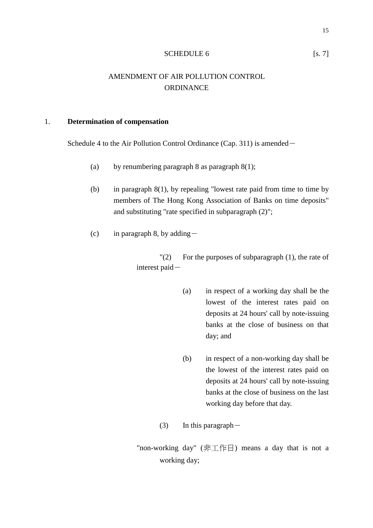#### SCHEDULE 6 [s. 7]

## AMENDMENT OF AIR POLLUTION CONTROL ORDINANCE

### 1. **Determination of compensation**

Schedule 4 to the Air Pollution Control Ordinance (Cap. 311) is amended-

- (a) by renumbering paragraph 8 as paragraph  $8(1)$ ;
- (b) in paragraph 8(1), by repealing "lowest rate paid from time to time by members of The Hong Kong Association of Banks on time deposits" and substituting "rate specified in subparagraph (2)";
- (c) in paragraph 8, by adding  $-$

 $'(2)$  For the purposes of subparagraph  $(1)$ , the rate of interest paid-

- (a) in respect of a working day shall be the lowest of the interest rates paid on deposits at 24 hours' call by note-issuing banks at the close of business on that day; and
- (b) in respect of a non-working day shall be the lowest of the interest rates paid on deposits at 24 hours' call by note-issuing banks at the close of business on the last working day before that day.

(3) In this paragraph  $-$ 

"non-working day" (非工作日) means a day that is not a working day;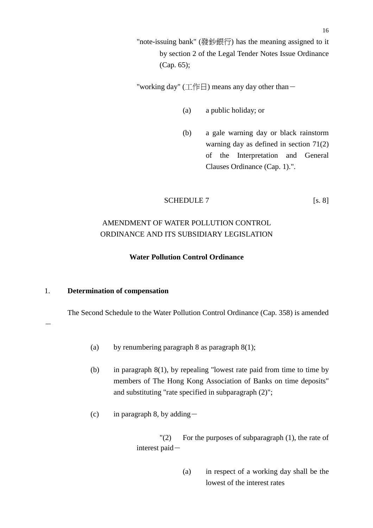"note-issuing bank" (發鈔銀行) has the meaning assigned to it by section 2 of the Legal Tender Notes Issue Ordinance (Cap. 65);

"working day" (工作日) means any day other than  $-$ 

- (a) a public holiday; or
- (b) a gale warning day or black rainstorm warning day as defined in section 71(2) of the Interpretation and General Clauses Ordinance (Cap. 1).".

#### SCHEDULE 7 [s. 8]

# AMENDMENT OF WATER POLLUTION CONTROL ORDINANCE AND ITS SUBSIDIARY LEGISLATION

### **Water Pollution Control Ordinance**

#### 1. **Determination of compensation**

-

The Second Schedule to the Water Pollution Control Ordinance (Cap. 358) is amended

- (a) by renumbering paragraph 8 as paragraph  $8(1)$ ;
- (b) in paragraph 8(1), by repealing "lowest rate paid from time to time by members of The Hong Kong Association of Banks on time deposits" and substituting "rate specified in subparagraph (2)";
- (c) in paragraph 8, by adding  $-$

 $'(2)$  For the purposes of subparagraph (1), the rate of interest paid-

> (a) in respect of a working day shall be the lowest of the interest rates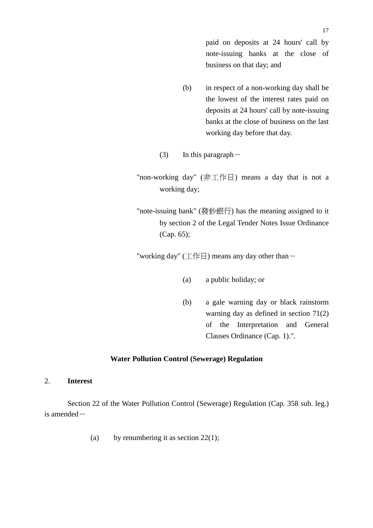paid on deposits at 24 hours' call by note-issuing banks at the close of business on that day; and

- (b) in respect of a non-working day shall be the lowest of the interest rates paid on deposits at 24 hours' call by note-issuing banks at the close of business on the last working day before that day.
- (3) In this paragraph  $-$

"non-working day" (非工作日) means a day that is not a working day;

"note-issuing bank" (發鈔銀行) has the meaning assigned to it by section 2 of the Legal Tender Notes Issue Ordinance (Cap. 65);

"working day" (工作日) means any day other than-

- (a) a public holiday; or
- (b) a gale warning day or black rainstorm warning day as defined in section 71(2) of the Interpretation and General Clauses Ordinance (Cap. 1).".

### **Water Pollution Control (Sewerage) Regulation**

2. **Interest**

Section 22 of the Water Pollution Control (Sewerage) Regulation (Cap. 358 sub. leg.) is amended $-$ 

(a) by renumbering it as section  $22(1)$ ;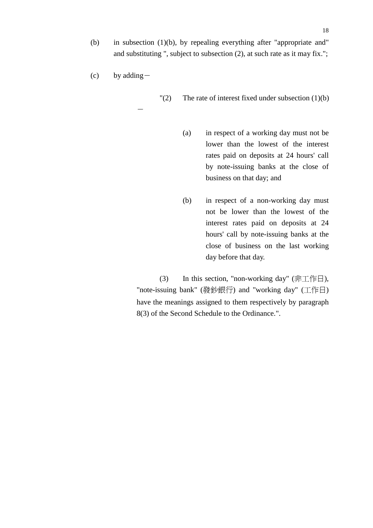(b) in subsection (1)(b), by repealing everything after "appropriate and" and substituting ", subject to subsection (2), at such rate as it may fix.";

 $(c)$  by adding  $-$ 

-

 $'(2)$  The rate of interest fixed under subsection  $(1)(b)$ 

- (a) in respect of a working day must not be lower than the lowest of the interest rates paid on deposits at 24 hours' call by note-issuing banks at the close of business on that day; and
- (b) in respect of a non-working day must not be lower than the lowest of the interest rates paid on deposits at 24 hours' call by note-issuing banks at the close of business on the last working day before that day.

(3) In this section, "non-working day" (非工作日), "note-issuing bank" (發鈔銀行) and "working day" (工作日) have the meanings assigned to them respectively by paragraph 8(3) of the Second Schedule to the Ordinance.".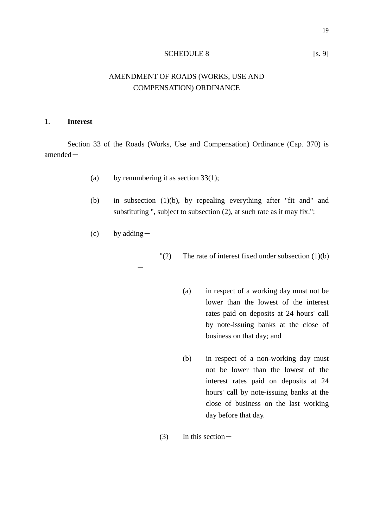#### SCHEDULE 8 [s. 9]

## AMENDMENT OF ROADS (WORKS, USE AND COMPENSATION) ORDINANCE

### 1. **Interest**

Section 33 of the Roads (Works, Use and Compensation) Ordinance (Cap. 370) is amended-

- (a) by renumbering it as section  $33(1)$ ;
- (b) in subsection (1)(b), by repealing everything after "fit and" and substituting ", subject to subsection (2), at such rate as it may fix.";
- $(c)$  by adding  $-$

-

 $"(2)$  The rate of interest fixed under subsection  $(1)(b)$ 

- (a) in respect of a working day must not be lower than the lowest of the interest rates paid on deposits at 24 hours' call by note-issuing banks at the close of business on that day; and
- (b) in respect of a non-working day must not be lower than the lowest of the interest rates paid on deposits at 24 hours' call by note-issuing banks at the close of business on the last working day before that day.
- $(3)$  In this section  $-$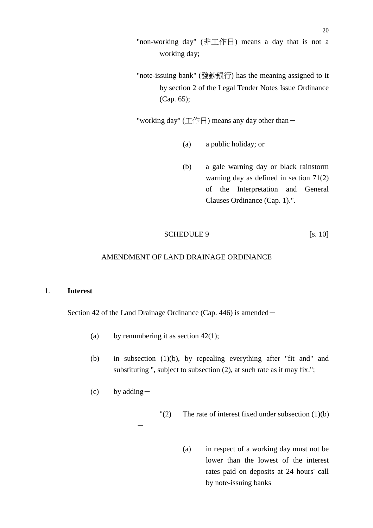- "non-working day" (非工作日) means a day that is not a working day;
- "note-issuing bank" (發鈔銀行) has the meaning assigned to it by section 2 of the Legal Tender Notes Issue Ordinance (Cap. 65);

"working day" (工作日) means any day other than  $-$ 

- (a) a public holiday; or
- (b) a gale warning day or black rainstorm warning day as defined in section 71(2) of the Interpretation and General Clauses Ordinance (Cap. 1).".

### SCHEDULE 9 [s. 10]

### AMENDMENT OF LAND DRAINAGE ORDINANCE

#### 1. **Interest**

Section 42 of the Land Drainage Ordinance (Cap. 446) is amended-

- (a) by renumbering it as section  $42(1)$ ;
- (b) in subsection (1)(b), by repealing everything after "fit and" and substituting ", subject to subsection (2), at such rate as it may fix.";
- (c) by adding  $-$

-

 $\Gamma(2)$  The rate of interest fixed under subsection (1)(b)

(a) in respect of a working day must not be lower than the lowest of the interest rates paid on deposits at 24 hours' call by note-issuing banks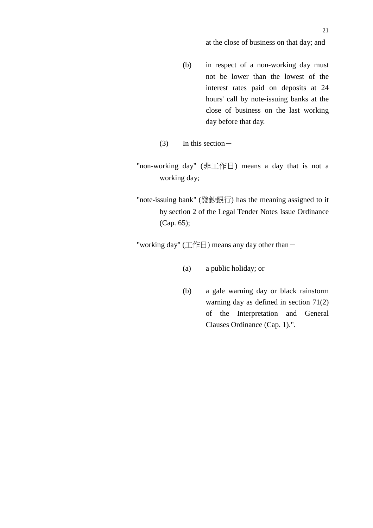### at the close of business on that day; and

- (b) in respect of a non-working day must not be lower than the lowest of the interest rates paid on deposits at 24 hours' call by note-issuing banks at the close of business on the last working day before that day.
- (3) In this section  $-$
- "non-working day" (非工作日) means a day that is not a working day;
- "note-issuing bank" (發鈔銀行) has the meaning assigned to it by section 2 of the Legal Tender Notes Issue Ordinance (Cap. 65);

"working day"  $(\text{I/F})$  means any day other than-

- (a) a public holiday; or
- (b) a gale warning day or black rainstorm warning day as defined in section 71(2) of the Interpretation and General Clauses Ordinance (Cap. 1).".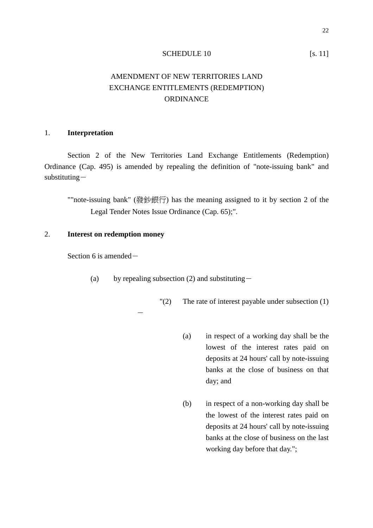#### SCHEDULE 10 [s. 11]

# AMENDMENT OF NEW TERRITORIES LAND EXCHANGE ENTITLEMENTS (REDEMPTION) **ORDINANCE**

#### 1. **Interpretation**

Section 2 of the New Territories Land Exchange Entitlements (Redemption) Ordinance (Cap. 495) is amended by repealing the definition of "note-issuing bank" and substituting-

""note-issuing bank" (發鈔銀行) has the meaning assigned to it by section 2 of the Legal Tender Notes Issue Ordinance (Cap. 65);".

#### 2. **Interest on redemption money**

Section 6 is amended $-$ 

(a) by repealing subsection (2) and substituting-

-

"(2) The rate of interest payable under subsection (1)

- (a) in respect of a working day shall be the lowest of the interest rates paid on deposits at 24 hours' call by note-issuing banks at the close of business on that day; and
- (b) in respect of a non-working day shall be the lowest of the interest rates paid on deposits at 24 hours' call by note-issuing banks at the close of business on the last working day before that day.";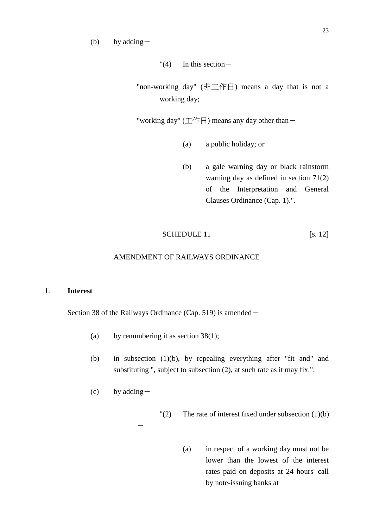(b) by adding  $-$ 

 $"(4)$  In this section -

"non-working day" (非工作日) means a day that is not a working day;

"working day" (工作日) means any day other than  $-$ 

- (a) a public holiday; or
- (b) a gale warning day or black rainstorm warning day as defined in section 71(2) of the Interpretation and General Clauses Ordinance (Cap. 1).".

### SCHEDULE 11 [s. 12]

### AMENDMENT OF RAILWAYS ORDINANCE

#### 1. **Interest**

Section 38 of the Railways Ordinance (Cap. 519) is amended-

- (a) by renumbering it as section  $38(1)$ ;
- (b) in subsection (1)(b), by repealing everything after "fit and" and substituting ", subject to subsection (2), at such rate as it may fix.";
- $(c)$  by adding -

 $\Gamma(2)$  The rate of interest fixed under subsection (1)(b)

- -
- (a) in respect of a working day must not be lower than the lowest of the interest rates paid on deposits at 24 hours' call by note-issuing banks at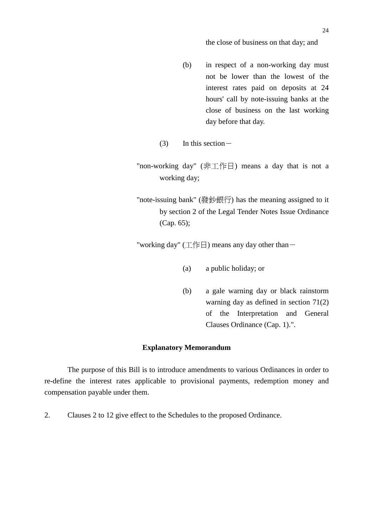### the close of business on that day; and

- (b) in respect of a non-working day must not be lower than the lowest of the interest rates paid on deposits at 24 hours' call by note-issuing banks at the close of business on the last working day before that day.
- (3) In this section  $-$
- "non-working day" (非工作日) means a day that is not a working day;
- "note-issuing bank" (發鈔銀行) has the meaning assigned to it by section 2 of the Legal Tender Notes Issue Ordinance (Cap. 65);

"working day" (工作日) means any day other than  $-$ 

- (a) a public holiday; or
- (b) a gale warning day or black rainstorm warning day as defined in section 71(2) of the Interpretation and General Clauses Ordinance (Cap. 1).".

### **Explanatory Memorandum**

The purpose of this Bill is to introduce amendments to various Ordinances in order to re-define the interest rates applicable to provisional payments, redemption money and compensation payable under them.

2. Clauses 2 to 12 give effect to the Schedules to the proposed Ordinance.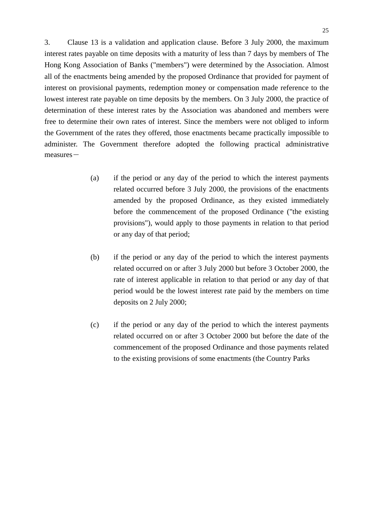3. Clause 13 is a validation and application clause. Before 3 July 2000, the maximum interest rates payable on time deposits with a maturity of less than 7 days by members of The Hong Kong Association of Banks ("members") were determined by the Association. Almost all of the enactments being amended by the proposed Ordinance that provided for payment of interest on provisional payments, redemption money or compensation made reference to the lowest interest rate payable on time deposits by the members. On 3 July 2000, the practice of determination of these interest rates by the Association was abandoned and members were free to determine their own rates of interest. Since the members were not obliged to inform the Government of the rates they offered, those enactments became practically impossible to administer. The Government therefore adopted the following practical administrative  $measures-$ 

- (a) if the period or any day of the period to which the interest payments related occurred before 3 July 2000, the provisions of the enactments amended by the proposed Ordinance, as they existed immediately before the commencement of the proposed Ordinance ("the existing provisions"), would apply to those payments in relation to that period or any day of that period;
- (b) if the period or any day of the period to which the interest payments related occurred on or after 3 July 2000 but before 3 October 2000, the rate of interest applicable in relation to that period or any day of that period would be the lowest interest rate paid by the members on time deposits on 2 July 2000;
- (c) if the period or any day of the period to which the interest payments related occurred on or after 3 October 2000 but before the date of the commencement of the proposed Ordinance and those payments related to the existing provisions of some enactments (the Country Parks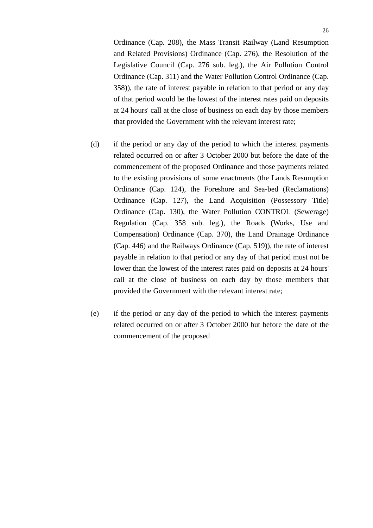Ordinance (Cap. 208), the Mass Transit Railway (Land Resumption and Related Provisions) Ordinance (Cap. 276), the Resolution of the Legislative Council (Cap. 276 sub. leg.), the Air Pollution Control Ordinance (Cap. 311) and the Water Pollution Control Ordinance (Cap. 358)), the rate of interest payable in relation to that period or any day of that period would be the lowest of the interest rates paid on deposits at 24 hours' call at the close of business on each day by those members that provided the Government with the relevant interest rate;

- (d) if the period or any day of the period to which the interest payments related occurred on or after 3 October 2000 but before the date of the commencement of the proposed Ordinance and those payments related to the existing provisions of some enactments (the Lands Resumption Ordinance (Cap. 124), the Foreshore and Sea-bed (Reclamations) Ordinance (Cap. 127), the Land Acquisition (Possessory Title) Ordinance (Cap. 130), the Water Pollution CONTROL (Sewerage) Regulation (Cap. 358 sub. leg.), the Roads (Works, Use and Compensation) Ordinance (Cap. 370), the Land Drainage Ordinance (Cap. 446) and the Railways Ordinance (Cap. 519)), the rate of interest payable in relation to that period or any day of that period must not be lower than the lowest of the interest rates paid on deposits at 24 hours' call at the close of business on each day by those members that provided the Government with the relevant interest rate;
- (e) if the period or any day of the period to which the interest payments related occurred on or after 3 October 2000 but before the date of the commencement of the proposed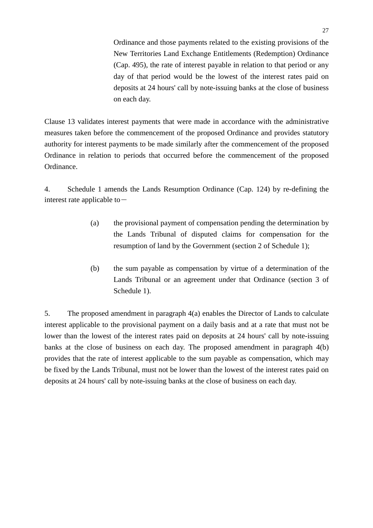Ordinance and those payments related to the existing provisions of the New Territories Land Exchange Entitlements (Redemption) Ordinance (Cap. 495), the rate of interest payable in relation to that period or any day of that period would be the lowest of the interest rates paid on deposits at 24 hours' call by note-issuing banks at the close of business on each day.

Clause 13 validates interest payments that were made in accordance with the administrative measures taken before the commencement of the proposed Ordinance and provides statutory authority for interest payments to be made similarly after the commencement of the proposed Ordinance in relation to periods that occurred before the commencement of the proposed Ordinance.

4. Schedule 1 amends the Lands Resumption Ordinance (Cap. 124) by re-defining the interest rate applicable to  $-$ 

- (a) the provisional payment of compensation pending the determination by the Lands Tribunal of disputed claims for compensation for the resumption of land by the Government (section 2 of Schedule 1);
- (b) the sum payable as compensation by virtue of a determination of the Lands Tribunal or an agreement under that Ordinance (section 3 of Schedule 1).

5. The proposed amendment in paragraph 4(a) enables the Director of Lands to calculate interest applicable to the provisional payment on a daily basis and at a rate that must not be lower than the lowest of the interest rates paid on deposits at 24 hours' call by note-issuing banks at the close of business on each day. The proposed amendment in paragraph 4(b) provides that the rate of interest applicable to the sum payable as compensation, which may be fixed by the Lands Tribunal, must not be lower than the lowest of the interest rates paid on deposits at 24 hours' call by note-issuing banks at the close of business on each day.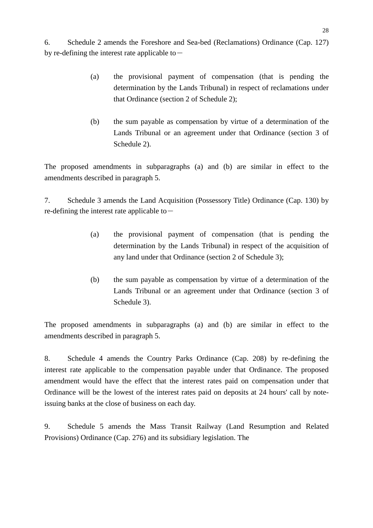6. Schedule 2 amends the Foreshore and Sea-bed (Reclamations) Ordinance (Cap. 127) by re-defining the interest rate applicable to  $-$ 

- (a) the provisional payment of compensation (that is pending the determination by the Lands Tribunal) in respect of reclamations under that Ordinance (section 2 of Schedule 2);
- (b) the sum payable as compensation by virtue of a determination of the Lands Tribunal or an agreement under that Ordinance (section 3 of Schedule 2).

The proposed amendments in subparagraphs (a) and (b) are similar in effect to the amendments described in paragraph 5.

7. Schedule 3 amends the Land Acquisition (Possessory Title) Ordinance (Cap. 130) by re-defining the interest rate applicable to  $-$ 

- (a) the provisional payment of compensation (that is pending the determination by the Lands Tribunal) in respect of the acquisition of any land under that Ordinance (section 2 of Schedule 3);
- (b) the sum payable as compensation by virtue of a determination of the Lands Tribunal or an agreement under that Ordinance (section 3 of Schedule 3).

The proposed amendments in subparagraphs (a) and (b) are similar in effect to the amendments described in paragraph 5.

8. Schedule 4 amends the Country Parks Ordinance (Cap. 208) by re-defining the interest rate applicable to the compensation payable under that Ordinance. The proposed amendment would have the effect that the interest rates paid on compensation under that Ordinance will be the lowest of the interest rates paid on deposits at 24 hours' call by noteissuing banks at the close of business on each day.

9. Schedule 5 amends the Mass Transit Railway (Land Resumption and Related Provisions) Ordinance (Cap. 276) and its subsidiary legislation. The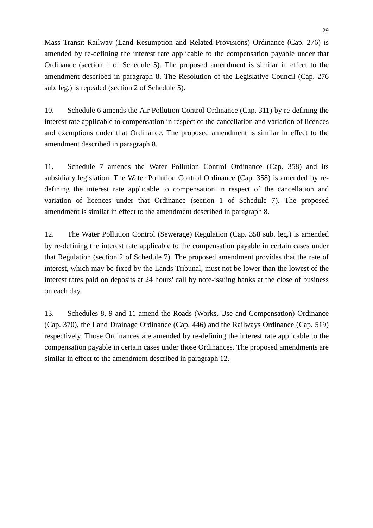Mass Transit Railway (Land Resumption and Related Provisions) Ordinance (Cap. 276) is amended by re-defining the interest rate applicable to the compensation payable under that Ordinance (section 1 of Schedule 5). The proposed amendment is similar in effect to the amendment described in paragraph 8. The Resolution of the Legislative Council (Cap. 276 sub. leg.) is repealed (section 2 of Schedule 5).

10. Schedule 6 amends the Air Pollution Control Ordinance (Cap. 311) by re-defining the interest rate applicable to compensation in respect of the cancellation and variation of licences and exemptions under that Ordinance. The proposed amendment is similar in effect to the amendment described in paragraph 8.

11. Schedule 7 amends the Water Pollution Control Ordinance (Cap. 358) and its subsidiary legislation. The Water Pollution Control Ordinance (Cap. 358) is amended by redefining the interest rate applicable to compensation in respect of the cancellation and variation of licences under that Ordinance (section 1 of Schedule 7). The proposed amendment is similar in effect to the amendment described in paragraph 8.

12. The Water Pollution Control (Sewerage) Regulation (Cap. 358 sub. leg.) is amended by re-defining the interest rate applicable to the compensation payable in certain cases under that Regulation (section 2 of Schedule 7). The proposed amendment provides that the rate of interest, which may be fixed by the Lands Tribunal, must not be lower than the lowest of the interest rates paid on deposits at 24 hours' call by note-issuing banks at the close of business on each day.

13. Schedules 8, 9 and 11 amend the Roads (Works, Use and Compensation) Ordinance (Cap. 370), the Land Drainage Ordinance (Cap. 446) and the Railways Ordinance (Cap. 519) respectively. Those Ordinances are amended by re-defining the interest rate applicable to the compensation payable in certain cases under those Ordinances. The proposed amendments are similar in effect to the amendment described in paragraph 12.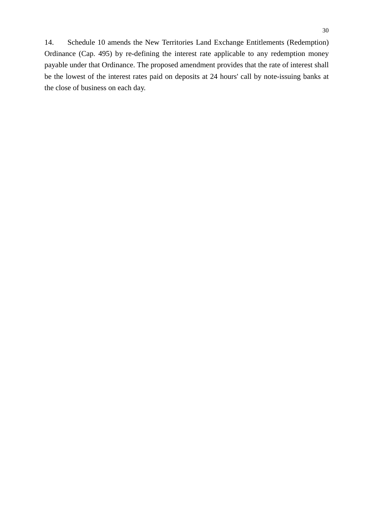14. Schedule 10 amends the New Territories Land Exchange Entitlements (Redemption) Ordinance (Cap. 495) by re-defining the interest rate applicable to any redemption money payable under that Ordinance. The proposed amendment provides that the rate of interest shall be the lowest of the interest rates paid on deposits at 24 hours' call by note-issuing banks at the close of business on each day.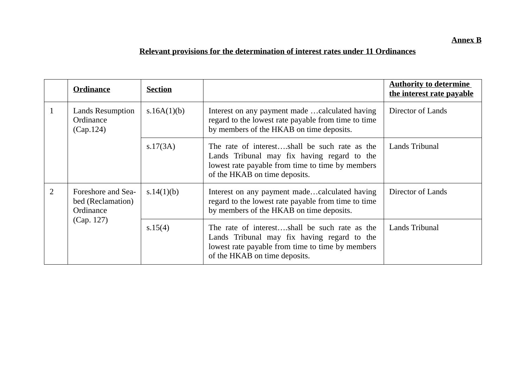# **Relevant provisions for the determination of interest rates under 11 Ordinances**

|   | <b>Ordinance</b>                                                   | <b>Section</b> |                                                                                                                                                                                    | <b>Authority to determine</b><br>the interest rate payable |
|---|--------------------------------------------------------------------|----------------|------------------------------------------------------------------------------------------------------------------------------------------------------------------------------------|------------------------------------------------------------|
|   | <b>Lands Resumption</b><br>Ordinance<br>(Cap.124)                  | s.16A $(1)(b)$ | Interest on any payment made calculated having<br>regard to the lowest rate payable from time to time<br>by members of the HKAB on time deposits.                                  | Director of Lands                                          |
|   |                                                                    | s.17(3A)       | The rate of interestshall be such rate as the<br>Lands Tribunal may fix having regard to the<br>lowest rate payable from time to time by members<br>of the HKAB on time deposits.  | Lands Tribunal                                             |
| 2 | Foreshore and Sea-<br>bed (Reclamation)<br>Ordinance<br>(Cap. 127) | s.14(1)(b)     | Interest on any payment madecalculated having<br>regard to the lowest rate payable from time to time<br>by members of the HKAB on time deposits.                                   | Director of Lands                                          |
|   |                                                                    | s.15(4)        | The rate of interest,shall be such rate as the<br>Lands Tribunal may fix having regard to the<br>lowest rate payable from time to time by members<br>of the HKAB on time deposits. | Lands Tribunal                                             |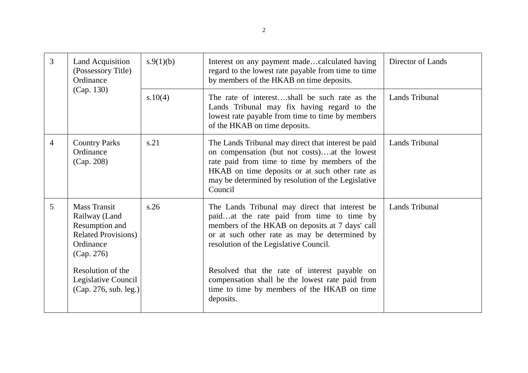| $\overline{3}$ | <b>Land Acquisition</b><br>(Possessory Title)<br>Ordinance<br>(Cap. 130)                                        | s.9(1)(b) | Interest on any payment madecalculated having<br>regard to the lowest rate payable from time to time<br>by members of the HKAB on time deposits.                                                                                                                        | Director of Lands     |
|----------------|-----------------------------------------------------------------------------------------------------------------|-----------|-------------------------------------------------------------------------------------------------------------------------------------------------------------------------------------------------------------------------------------------------------------------------|-----------------------|
|                |                                                                                                                 | s.10(4)   | The rate of interest,shall be such rate as the<br>Lands Tribunal may fix having regard to the<br>lowest rate payable from time to time by members<br>of the HKAB on time deposits.                                                                                      | Lands Tribunal        |
| $\overline{4}$ | <b>Country Parks</b><br>Ordinance<br>(Cap. 208)                                                                 | s.21      | The Lands Tribunal may direct that interest be paid<br>on compensation (but not costs)at the lowest<br>rate paid from time to time by members of the<br>HKAB on time deposits or at such other rate as<br>may be determined by resolution of the Legislative<br>Council | Lands Tribunal        |
| 5              | <b>Mass Transit</b><br>Railway (Land<br>Resumption and<br><b>Related Provisions)</b><br>Ordinance<br>(Cap. 276) | s.26      | The Lands Tribunal may direct that interest be<br>paidat the rate paid from time to time by<br>members of the HKAB on deposits at 7 days' call<br>or at such other rate as may be determined by<br>resolution of the Legislative Council.                               | <b>Lands Tribunal</b> |
|                | Resolution of the<br>Legislative Council<br>(Cap. 276, sub. leg.)                                               |           | Resolved that the rate of interest payable on<br>compensation shall be the lowest rate paid from<br>time to time by members of the HKAB on time<br>deposits.                                                                                                            |                       |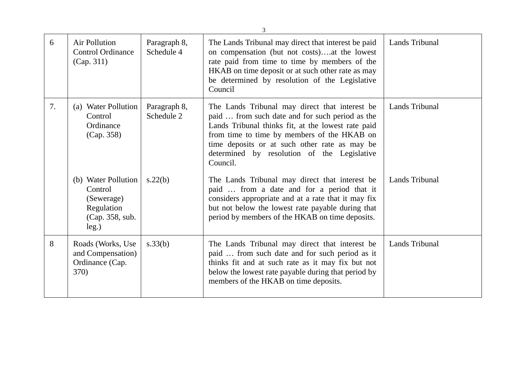| 6  | Air Pollution<br><b>Control Ordinance</b><br>(Cap. 311)                                | Paragraph 8,<br>Schedule 4 | The Lands Tribunal may direct that interest be paid<br>on compensation (but not costs)at the lowest<br>rate paid from time to time by members of the<br>HKAB on time deposit or at such other rate as may<br>be determined by resolution of the Legislative<br>Council                                             | Lands Tribunal |
|----|----------------------------------------------------------------------------------------|----------------------------|--------------------------------------------------------------------------------------------------------------------------------------------------------------------------------------------------------------------------------------------------------------------------------------------------------------------|----------------|
| 7. | (a) Water Pollution<br>Control<br>Ordinance<br>(Cap. 358)                              | Paragraph 8,<br>Schedule 2 | The Lands Tribunal may direct that interest be<br>paid  from such date and for such period as the<br>Lands Tribunal thinks fit, at the lowest rate paid<br>from time to time by members of the HKAB on<br>time deposits or at such other rate as may be<br>determined by resolution of the Legislative<br>Council. | Lands Tribunal |
|    | (b) Water Pollution<br>Control<br>(Sewerage)<br>Regulation<br>(Cap. 358, sub.<br>leg.) | s.22(b)                    | The Lands Tribunal may direct that interest be<br>paid  from a date and for a period that it<br>considers appropriate and at a rate that it may fix<br>but not below the lowest rate payable during that<br>period by members of the HKAB on time deposits.                                                        | Lands Tribunal |
| 8  | Roads (Works, Use<br>and Compensation)<br>Ordinance (Cap.<br>370)                      | s.33(b)                    | The Lands Tribunal may direct that interest be<br>paid  from such date and for such period as it<br>thinks fit and at such rate as it may fix but not<br>below the lowest rate payable during that period by<br>members of the HKAB on time deposits.                                                              | Lands Tribunal |